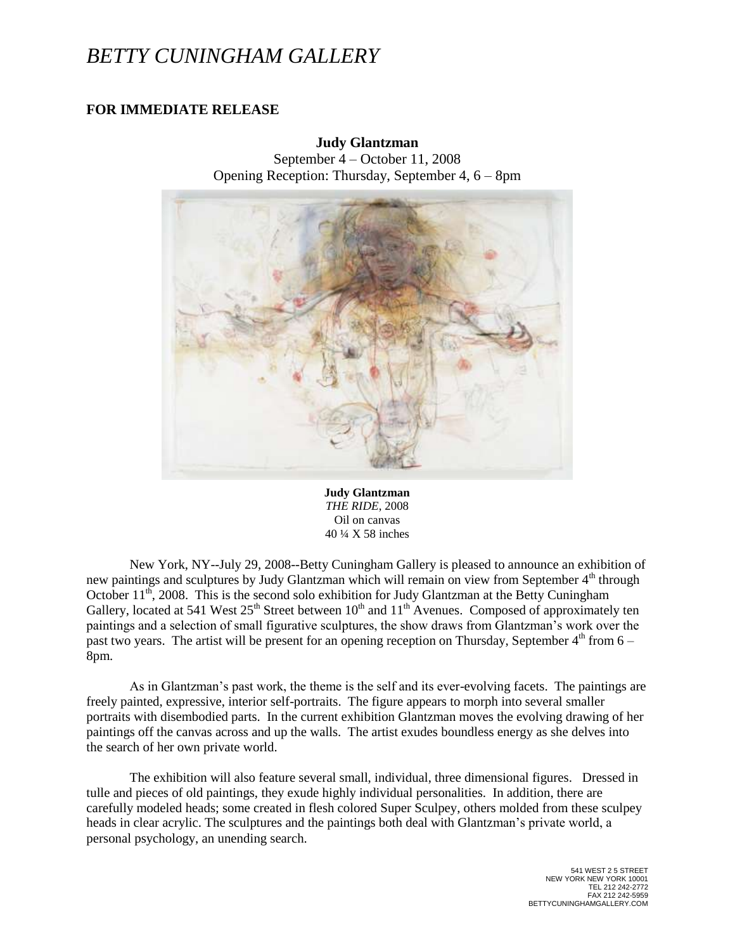## *BETTY CUNINGHAM GALLERY*

## **FOR IMMEDIATE RELEASE**

## **Judy Glantzman**

September 4 – October 11, 2008 Opening Reception: Thursday, September 4, 6 – 8pm



**Judy Glantzman** *THE RIDE*, 2008 Oil on canvas 40 ¼ X 58 inches

New York, NY--July 29, 2008--Betty Cuningham Gallery is pleased to announce an exhibition of new paintings and sculptures by Judy Glantzman which will remain on view from September  $4<sup>th</sup>$  through October  $11^{th}$ , 2008. This is the second solo exhibition for Judy Glantzman at the Betty Cuningham Gallery, located at 541 West  $25<sup>th</sup>$  Street between  $10<sup>th</sup>$  and  $11<sup>th</sup>$  Avenues. Composed of approximately ten paintings and a selection of small figurative sculptures, the show draws from Glantzman's work over the past two years. The artist will be present for an opening reception on Thursday, September  $4<sup>th</sup>$  from  $6 -$ 8pm.

As in Glantzman's past work, the theme is the self and its ever-evolving facets. The paintings are freely painted, expressive, interior self-portraits. The figure appears to morph into several smaller portraits with disembodied parts. In the current exhibition Glantzman moves the evolving drawing of her paintings off the canvas across and up the walls. The artist exudes boundless energy as she delves into the search of her own private world.

The exhibition will also feature several small, individual, three dimensional figures. Dressed in tulle and pieces of old paintings, they exude highly individual personalities. In addition, there are carefully modeled heads; some created in flesh colored Super Sculpey, others molded from these sculpey heads in clear acrylic. The sculptures and the paintings both deal with Glantzman's private world, a personal psychology, an unending search.